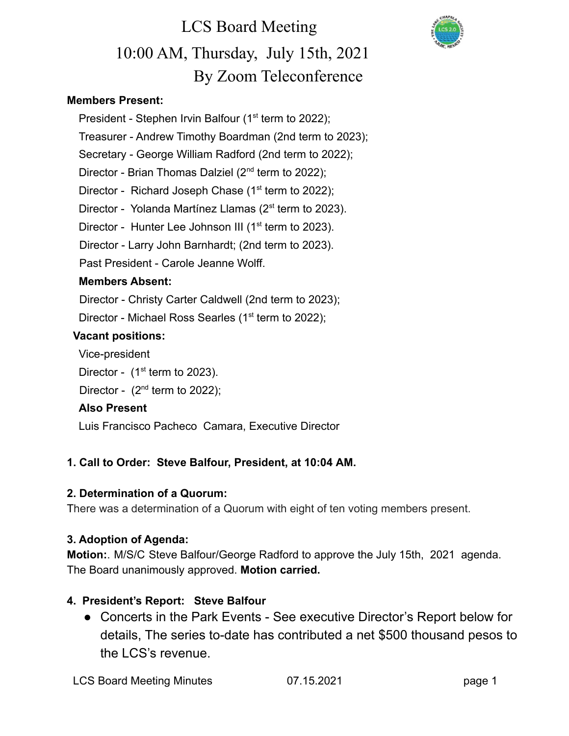### **Members Present:**

- President Stephen Irvin Balfour  $(1<sup>st</sup>$  term to 2022); Treasurer - Andrew Timothy Boardman (2nd term to 2023);
- Secretary George William Radford (2nd term to 2022);
- Director Brian Thomas Dalziel  $(2^{nd}$  term to 2022);
- Director Richard Joseph Chase  $(1<sup>st</sup>$  term to 2022);
- Director Yolanda Martínez Llamas (2<sup>st</sup> term to 2023).
- Director Hunter Lee Johnson III (1<sup>st</sup> term to 2023).
- Director Larry John Barnhardt; (2nd term to 2023).
- Past President Carole Jeanne Wolff.

### **Members Absent:**

Director - Christy Carter Caldwell (2nd term to 2023);

Director - Michael Ross Searles (1<sup>st</sup> term to 2022);

### **Vacant positions:**

Vice-president

- Director  $(1<sup>st</sup>$  term to 2023).
- Director  $(2<sup>nd</sup>$  term to 2022);

### **Also Present**

Luis Francisco Pacheco Camara, Executive Director

### **1. Call to Order: Steve Balfour, President, at 10:04 AM.**

### **2. Determination of a Quorum:**

There was a determination of a Quorum with eight of ten voting members present.

### **3. Adoption of Agenda:**

**Motion:**. M/S/C Steve Balfour/George Radford to approve the July 15th, 2021 agenda. The Board unanimously approved. **Motion carried.**

### **4. President's Report: Steve Balfour**

● Concerts in the Park Events - See executive Director's Report below for details, The series to-date has contributed a net \$500 thousand pesos to the LCS's revenue.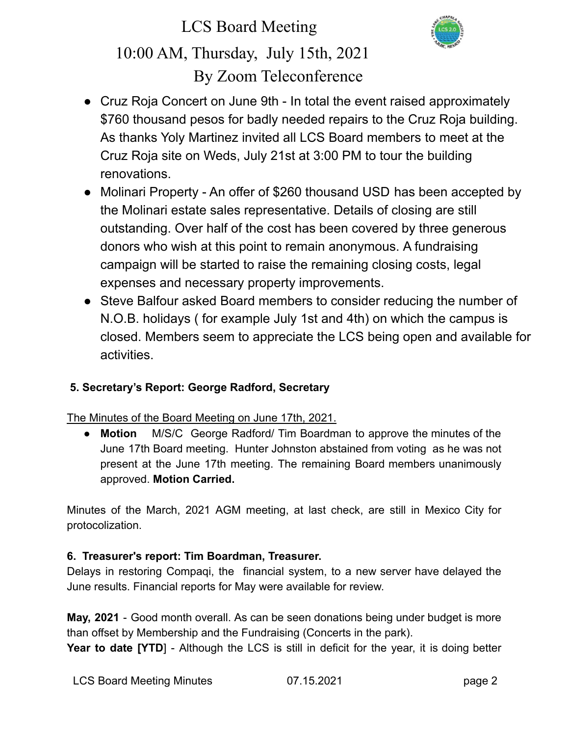

- Cruz Roja Concert on June 9th In total the event raised approximately \$760 thousand pesos for badly needed repairs to the Cruz Roja building. As thanks Yoly Martinez invited all LCS Board members to meet at the Cruz Roja site on Weds, July 21st at 3:00 PM to tour the building renovations.
- Molinari Property An offer of \$260 thousand USD has been accepted by the Molinari estate sales representative. Details of closing are still outstanding. Over half of the cost has been covered by three generous donors who wish at this point to remain anonymous. A fundraising campaign will be started to raise the remaining closing costs, legal expenses and necessary property improvements.
- Steve Balfour asked Board members to consider reducing the number of N.O.B. holidays ( for example July 1st and 4th) on which the campus is closed. Members seem to appreciate the LCS being open and available for activities.

### **5. Secretary's Report: George Radford, Secretary**

The Minutes of the Board Meeting on June 17th, 2021.

● **Motion** M/S/C George Radford/ Tim Boardman to approve the minutes of the June 17th Board meeting. Hunter Johnston abstained from voting as he was not present at the June 17th meeting. The remaining Board members unanimously approved. **Motion Carried.**

Minutes of the March, 2021 AGM meeting, at last check, are still in Mexico City for protocolization.

### **6. Treasurer's report: Tim Boardman, Treasurer.**

Delays in restoring Compaqi, the financial system, to a new server have delayed the June results. Financial reports for May were available for review.

**May, 2021** - Good month overall. As can be seen donations being under budget is more than offset by Membership and the Fundraising (Concerts in the park).

**Year to date [YTD]** - Although the LCS is still in deficit for the year, it is doing better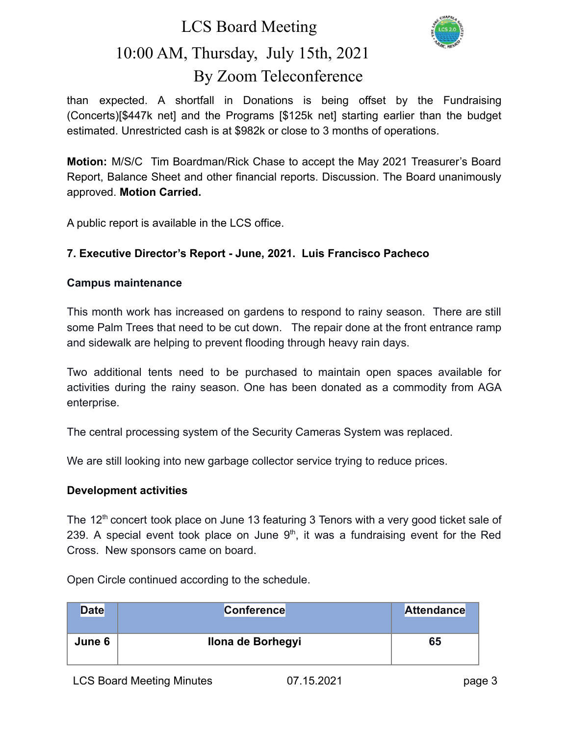### LCS Board Meeting



## 10:00 AM, Thursday, July 15th, 2021 By Zoom Teleconference

than expected. A shortfall in Donations is being offset by the Fundraising (Concerts)[\$447k net] and the Programs [\$125k net] starting earlier than the budget estimated. Unrestricted cash is at \$982k or close to 3 months of operations.

**Motion:** M/S/C Tim Boardman/Rick Chase to accept the May 2021 Treasurer's Board Report, Balance Sheet and other financial reports. Discussion. The Board unanimously approved. **Motion Carried.**

A public report is available in the LCS office.

### **7. Executive Director's Report - June, 2021. Luis Francisco Pacheco**

### **Campus maintenance**

This month work has increased on gardens to respond to rainy season. There are still some Palm Trees that need to be cut down. The repair done at the front entrance ramp and sidewalk are helping to prevent flooding through heavy rain days.

Two additional tents need to be purchased to maintain open spaces available for activities during the rainy season. One has been donated as a commodity from AGA enterprise.

The central processing system of the Security Cameras System was replaced.

We are still looking into new garbage collector service trying to reduce prices.

#### **Development activities**

The  $12<sup>th</sup>$  concert took place on June 13 featuring 3 Tenors with a very good ticket sale of 239. A special event took place on June  $9<sup>th</sup>$ , it was a fundraising event for the Red Cross. New sponsors came on board.

| <b>Date</b> | <b>Conference</b> | <b>Attendance</b> |
|-------------|-------------------|-------------------|
| June 6      | Ilona de Borhegyi | 65                |

Open Circle continued according to the schedule.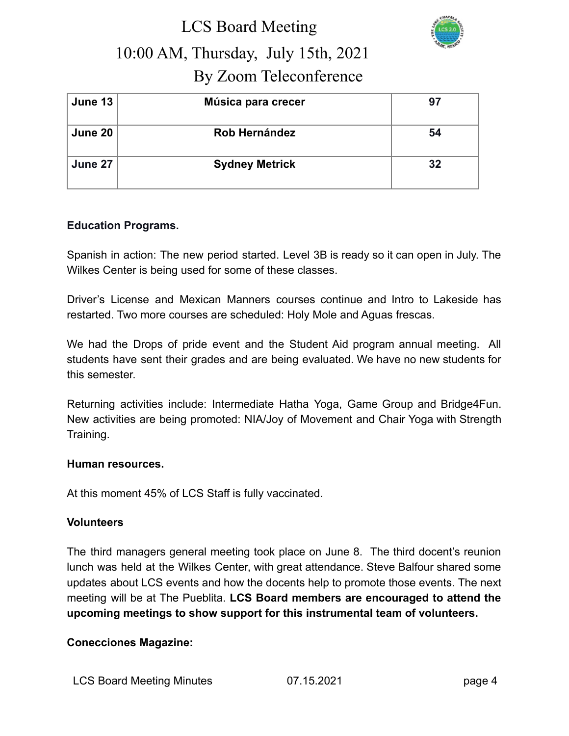

| June 13 | Música para crecer    | 97 |
|---------|-----------------------|----|
| June 20 | Rob Hernández         | 54 |
| June 27 | <b>Sydney Metrick</b> | 32 |

### **Education Programs.**

Spanish in action: The new period started. Level 3B is ready so it can open in July. The Wilkes Center is being used for some of these classes.

Driver's License and Mexican Manners courses continue and Intro to Lakeside has restarted. Two more courses are scheduled: Holy Mole and Aguas frescas.

We had the Drops of pride event and the Student Aid program annual meeting. All students have sent their grades and are being evaluated. We have no new students for this semester.

Returning activities include: Intermediate Hatha Yoga, Game Group and Bridge4Fun. New activities are being promoted: NIA/Joy of Movement and Chair Yoga with Strength Training.

#### **Human resources.**

At this moment 45% of LCS Staff is fully vaccinated.

#### **Volunteers**

The third managers general meeting took place on June 8. The third docent's reunion lunch was held at the Wilkes Center, with great attendance. Steve Balfour shared some updates about LCS events and how the docents help to promote those events. The next meeting will be at The Pueblita. **LCS Board members are encouraged to attend the upcoming meetings to show support for this instrumental team of volunteers.**

### **Conecciones Magazine:**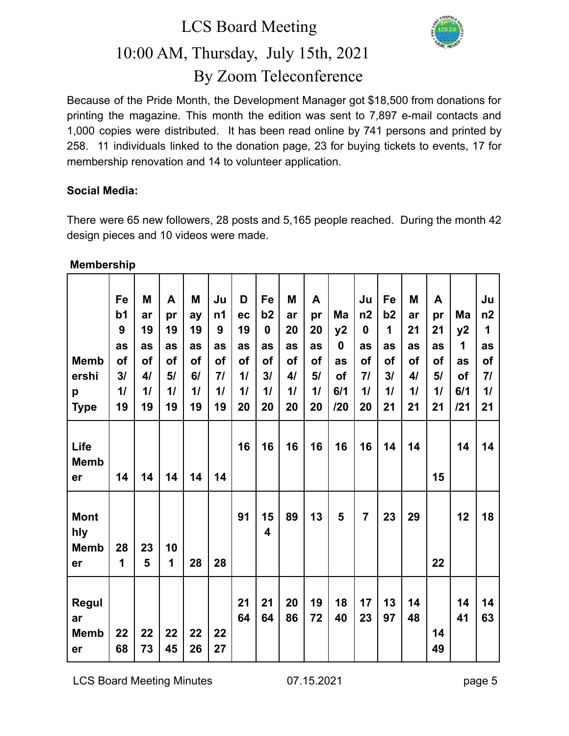

Because of the Pride Month, the Development Manager got \$18,500 from donations for printing the magazine. This month the edition was sent to 7,897 e-mail contacts and 1,000 copies were distributed. It has been read online by 741 persons and printed by 258. 11 individuals linked to the donation page, 23 for buying tickets to events, 17 for membership renovation and 14 to volunteer application.

### **Social Media:**

There were 65 new followers, 28 posts and 5,165 people reached. During the month 42 design pieces and 10 videos were made.

| <b>Membership</b> |
|-------------------|
|-------------------|

|              | Fe             | M  | A  | M  | Ju             | D         | Fe                      | M  | A  |             | Ju             | Fe | M  | A  |     | Ju |
|--------------|----------------|----|----|----|----------------|-----------|-------------------------|----|----|-------------|----------------|----|----|----|-----|----|
|              | b <sub>1</sub> | ar | pr | ay | n <sub>1</sub> | ec        | b2                      | ar | pr | Ma          | n2             | b2 | ar | pr | Ma  | n2 |
|              | 9              | 19 | 19 | 19 | 9              | 19        | $\mathbf 0$             | 20 | 20 | y2          | $\mathbf 0$    | 1  | 21 | 21 | y2  | 1  |
|              | as             | as | as | as | as             | as        | as                      | as | as | $\mathbf 0$ | as             | as | as | as | 1   | as |
| <b>Memb</b>  | of             | of | of | of | <b>of</b>      | <b>of</b> | of                      | οf | of | as          | of             | of | of | of | as  | of |
| ershi        | 3/             | 41 | 5/ | 6/ | 71             | 11        | 31                      | 41 | 5/ | of          | 71             | 3/ | 41 | 5/ | of  | 71 |
| p            | 11             | 11 | 11 | 11 | 11             | 11        | 11                      | 11 | 11 | 6/1         | 11             | 11 | 11 | 11 | 6/1 | 11 |
| <b>Type</b>  | 19             | 19 | 19 | 19 | 19             | 20        | 20                      | 20 | 20 | 120         | 20             | 21 | 21 | 21 | 121 | 21 |
|              |                |    |    |    |                |           |                         |    |    |             |                |    |    |    |     |    |
| Life         |                |    |    |    |                | 16        | 16                      | 16 | 16 | 16          | 16             | 14 | 14 |    | 14  | 14 |
| <b>Memb</b>  |                |    |    |    |                |           |                         |    |    |             |                |    |    |    |     |    |
| er           | 14             | 14 | 14 | 14 | 14             |           |                         |    |    |             |                |    |    | 15 |     |    |
|              |                |    |    |    |                |           |                         |    |    |             |                |    |    |    |     |    |
|              |                |    |    |    |                |           |                         |    |    |             |                |    |    |    |     |    |
| <b>Mont</b>  |                |    |    |    |                | 91        | 15                      | 89 | 13 | 5           | $\overline{7}$ | 23 | 29 |    | 12  | 18 |
| hly          |                |    |    |    |                |           | $\overline{\mathbf{4}}$ |    |    |             |                |    |    |    |     |    |
| <b>Memb</b>  | 28             | 23 | 10 |    |                |           |                         |    |    |             |                |    |    |    |     |    |
| er           | 1              | 5  | 1  | 28 | 28             |           |                         |    |    |             |                |    |    | 22 |     |    |
|              |                |    |    |    |                |           |                         |    |    |             |                |    |    |    |     |    |
| <b>Regul</b> |                |    |    |    |                | 21        | 21                      | 20 | 19 | 18          | 17             | 13 | 14 |    | 14  | 14 |
| ar           |                |    |    |    |                | 64        | 64                      | 86 | 72 | 40          | 23             | 97 | 48 |    | 41  | 63 |
| <b>Memb</b>  | 22             | 22 | 22 | 22 | 22             |           |                         |    |    |             |                |    |    | 14 |     |    |
| er           | 68             | 73 | 45 | 26 | 27             |           |                         |    |    |             |                |    |    | 49 |     |    |
|              |                |    |    |    |                |           |                         |    |    |             |                |    |    |    |     |    |

LCS Board Meeting Minutes 07.15.2021 page 5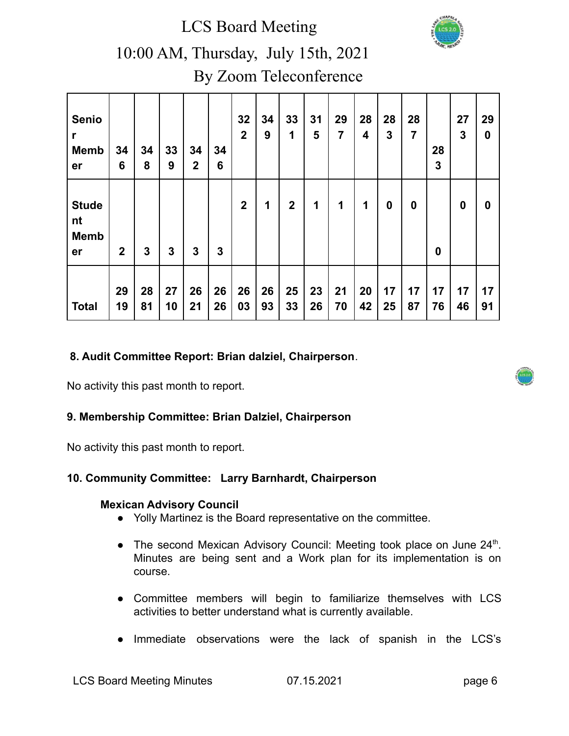LCS Board Meeting



### 10:00 AM, Thursday, July 15th, 2021 By Zoom Teleconference

| <b>Senio</b><br>r<br><b>Memb</b><br>er  | 34<br>6      | 34<br>8  | 33<br>9  | 34<br>$\mathbf 2$ | 34<br>6  | 32<br>$\overline{2}$ | 34<br>9  | 33<br>1          | 31<br>5  | 29<br>$\overline{7}$ | 28<br>$\overline{\mathbf{4}}$ | 28<br>3  | 28<br>$\overline{7}$ | 28<br>$\mathbf{3}$ | 27<br>3  | 29<br>$\bf{0}$   |
|-----------------------------------------|--------------|----------|----------|-------------------|----------|----------------------|----------|------------------|----------|----------------------|-------------------------------|----------|----------------------|--------------------|----------|------------------|
| <b>Stude</b><br>nt<br><b>Memb</b><br>er | $\mathbf{2}$ | 3        | 3        | 3                 | 3        | $\mathbf{2}$         | 1        | $\boldsymbol{2}$ | 1        | 1                    | 1                             | $\bf{0}$ | 0                    | $\boldsymbol{0}$   | $\bf{0}$ | $\boldsymbol{0}$ |
| <b>Total</b>                            | 29<br>19     | 28<br>81 | 27<br>10 | 26<br>21          | 26<br>26 | 26<br>03             | 26<br>93 | 25<br>33         | 23<br>26 | 21<br>70             | 20<br>42                      | 17<br>25 | 17<br>87             | 17<br>76           | 17<br>46 | 17<br>91         |

### **8. Audit Committee Report: Brian dalziel, Chairperson**.

No activity this past month to report.

### **9. Membership Committee: Brian Dalziel, Chairperson**

No activity this past month to report.

### **10. Community Committee: Larry Barnhardt, Chairperson**

#### **Mexican Advisory Council**

- Yolly Martinez is the Board representative on the committee.
- The second Mexican Advisory Council: Meeting took place on June 24<sup>th</sup>. Minutes are being sent and a Work plan for its implementation is on course.
- Committee members will begin to familiarize themselves with LCS activities to better understand what is currently available.
- Immediate observations were the lack of spanish in the LCS's